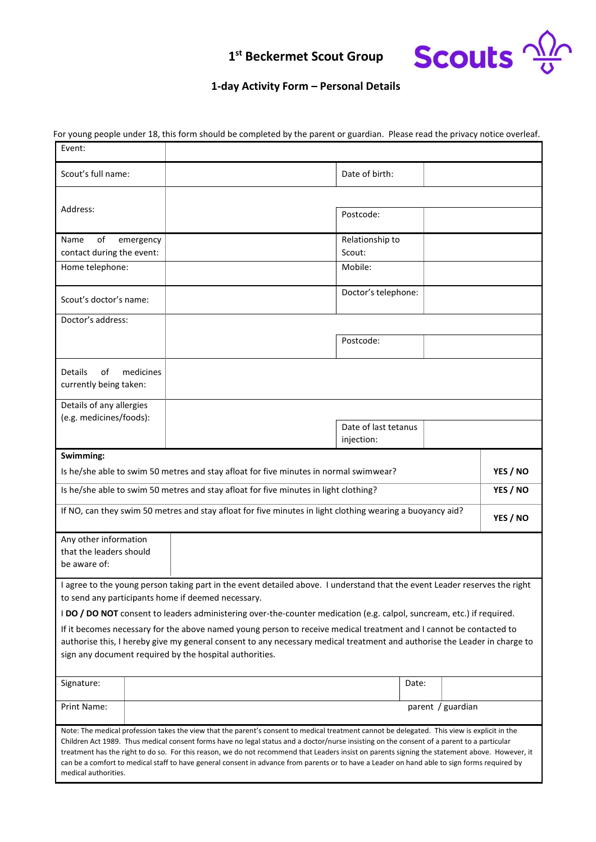# **Scouts**  $\frac{\sqrt{2}}{9}$

## **1 st Beckermet Scout Group**

#### **1-day Activity Form – Personal Details**

| Event:                                                                                                    |                                                                                                                                                                                                                                                                                                                                                                                                                                                                                                                                                                                              |          |
|-----------------------------------------------------------------------------------------------------------|----------------------------------------------------------------------------------------------------------------------------------------------------------------------------------------------------------------------------------------------------------------------------------------------------------------------------------------------------------------------------------------------------------------------------------------------------------------------------------------------------------------------------------------------------------------------------------------------|----------|
| Scout's full name:                                                                                        | Date of birth:                                                                                                                                                                                                                                                                                                                                                                                                                                                                                                                                                                               |          |
|                                                                                                           |                                                                                                                                                                                                                                                                                                                                                                                                                                                                                                                                                                                              |          |
| Address:                                                                                                  | Postcode:                                                                                                                                                                                                                                                                                                                                                                                                                                                                                                                                                                                    |          |
| Name<br>οf<br>emergency                                                                                   | Relationship to                                                                                                                                                                                                                                                                                                                                                                                                                                                                                                                                                                              |          |
| contact during the event:                                                                                 | Scout:                                                                                                                                                                                                                                                                                                                                                                                                                                                                                                                                                                                       |          |
| Home telephone:                                                                                           | Mobile:                                                                                                                                                                                                                                                                                                                                                                                                                                                                                                                                                                                      |          |
| Scout's doctor's name:                                                                                    | Doctor's telephone:                                                                                                                                                                                                                                                                                                                                                                                                                                                                                                                                                                          |          |
| Doctor's address:                                                                                         |                                                                                                                                                                                                                                                                                                                                                                                                                                                                                                                                                                                              |          |
|                                                                                                           | Postcode:                                                                                                                                                                                                                                                                                                                                                                                                                                                                                                                                                                                    |          |
| medicines<br><b>Details</b><br>οf<br>currently being taken:                                               |                                                                                                                                                                                                                                                                                                                                                                                                                                                                                                                                                                                              |          |
| Details of any allergies                                                                                  |                                                                                                                                                                                                                                                                                                                                                                                                                                                                                                                                                                                              |          |
| (e.g. medicines/foods):                                                                                   | Date of last tetanus<br>injection:                                                                                                                                                                                                                                                                                                                                                                                                                                                                                                                                                           |          |
| Swimming:                                                                                                 |                                                                                                                                                                                                                                                                                                                                                                                                                                                                                                                                                                                              |          |
| Is he/she able to swim 50 metres and stay afloat for five minutes in normal swimwear?                     |                                                                                                                                                                                                                                                                                                                                                                                                                                                                                                                                                                                              | YES / NO |
| Is he/she able to swim 50 metres and stay afloat for five minutes in light clothing?                      |                                                                                                                                                                                                                                                                                                                                                                                                                                                                                                                                                                                              | YES / NO |
| If NO, can they swim 50 metres and stay afloat for five minutes in light clothing wearing a buoyancy aid? |                                                                                                                                                                                                                                                                                                                                                                                                                                                                                                                                                                                              | YES / NO |
| Any other information                                                                                     |                                                                                                                                                                                                                                                                                                                                                                                                                                                                                                                                                                                              |          |
| that the leaders should                                                                                   |                                                                                                                                                                                                                                                                                                                                                                                                                                                                                                                                                                                              |          |
| be aware of:                                                                                              |                                                                                                                                                                                                                                                                                                                                                                                                                                                                                                                                                                                              |          |
|                                                                                                           | I agree to the young person taking part in the event detailed above. I understand that the event Leader reserves the right                                                                                                                                                                                                                                                                                                                                                                                                                                                                   |          |
| to send any participants home if deemed necessary.                                                        |                                                                                                                                                                                                                                                                                                                                                                                                                                                                                                                                                                                              |          |
|                                                                                                           | I DO / DO NOT consent to leaders administering over-the-counter medication (e.g. calpol, suncream, etc.) if required.                                                                                                                                                                                                                                                                                                                                                                                                                                                                        |          |
|                                                                                                           | If it becomes necessary for the above named young person to receive medical treatment and I cannot be contacted to                                                                                                                                                                                                                                                                                                                                                                                                                                                                           |          |
| sign any document required by the hospital authorities.                                                   | authorise this, I hereby give my general consent to any necessary medical treatment and authorise the Leader in charge to                                                                                                                                                                                                                                                                                                                                                                                                                                                                    |          |
| Signature:                                                                                                | Date:                                                                                                                                                                                                                                                                                                                                                                                                                                                                                                                                                                                        |          |
| Print Name:                                                                                               | parent / guardian                                                                                                                                                                                                                                                                                                                                                                                                                                                                                                                                                                            |          |
| medical authorities.                                                                                      | Note: The medical profession takes the view that the parent's consent to medical treatment cannot be delegated. This view is explicit in the<br>Children Act 1989. Thus medical consent forms have no legal status and a doctor/nurse insisting on the consent of a parent to a particular<br>treatment has the right to do so. For this reason, we do not recommend that Leaders insist on parents signing the statement above. However, it<br>can be a comfort to medical staff to have general consent in advance from parents or to have a Leader on hand able to sign forms required by |          |